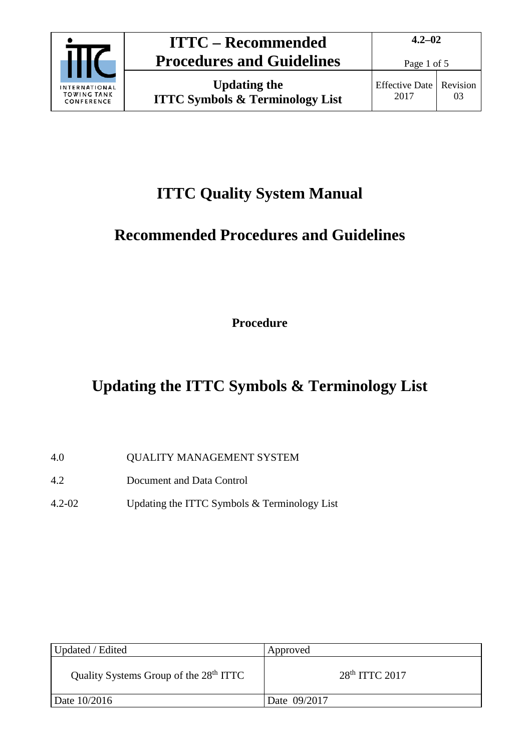

## **ITTC Quality System Manual**

# **Recommended Procedures and Guidelines**

**Procedure**

# **Updating the ITTC Symbols & Terminology List**

- 4.0 QUALITY MANAGEMENT SYSTEM
- 4.2 Document and Data Control
- 4.2-02 Updating the ITTC Symbols & Terminology List

| Updated / Edited                                   | Approved         |
|----------------------------------------------------|------------------|
| Quality Systems Group of the 28 <sup>th</sup> ITTC | $28th$ ITTC 2017 |
| Date 10/2016                                       | Date 09/2017     |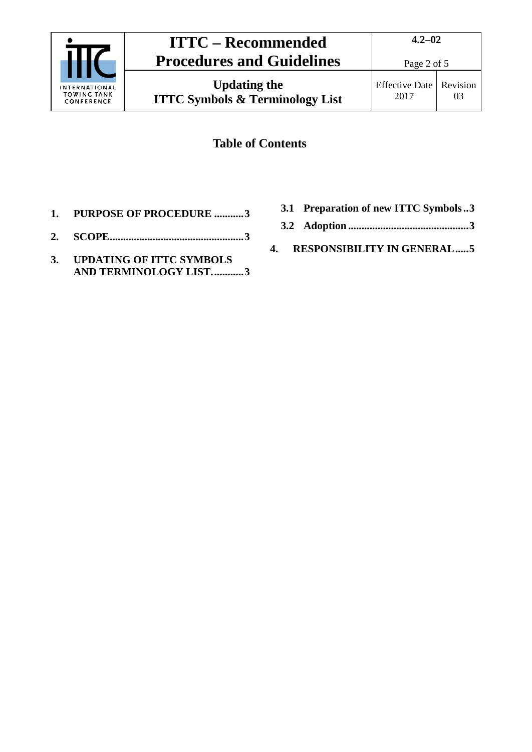

## **ITTC – Recommended Procedures and Guidelines**

### **Table of Contents**

- **1. [PURPOSE OF PROCEDURE](#page-2-0) ...........3**
- **2. [SCOPE..................................................3](#page-2-1)**
- **3. [UPDATING OF ITTC SYMBOLS](#page-2-2)  [AND TERMINOLOGY LIST............3](#page-2-2)**
- **3.1 [Preparation of new ITTC Symbols..3](#page-2-3)**
- **3.2 Adoption [.............................................3](#page-2-4)**
- **4. [RESPONSIBILITY IN GENERAL.....5](#page-4-0)**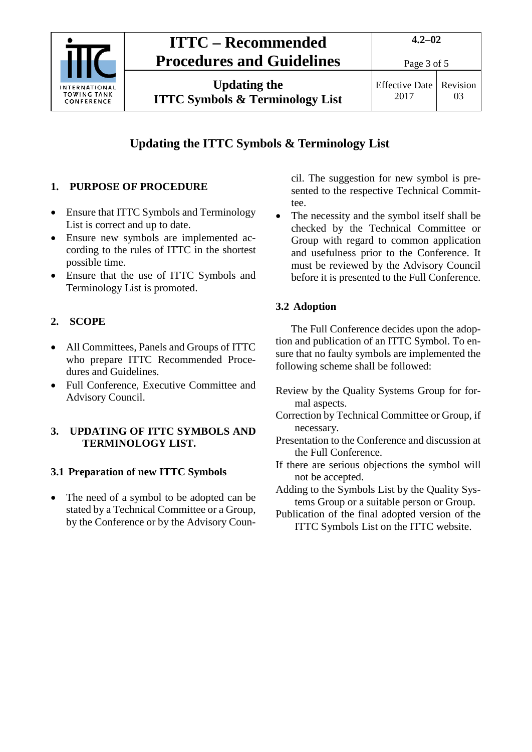

### **ITTC – Recommended Procedures and Guidelines**

**4.2–02**

### **Updating the ITTC Symbols & Terminology List**

#### <span id="page-2-0"></span>**1. PURPOSE OF PROCEDURE**

- Ensure that ITTC Symbols and Terminology List is correct and up to date.
- Ensure new symbols are implemented according to the rules of ITTC in the shortest possible time.
- Ensure that the use of ITTC Symbols and Terminology List is promoted.

#### <span id="page-2-1"></span>**2. SCOPE**

- All Committees, Panels and Groups of ITTC who prepare ITTC Recommended Procedures and Guidelines.
- Full Conference, Executive Committee and Advisory Council.

#### <span id="page-2-2"></span>**3. UPDATING OF ITTC SYMBOLS AND TERMINOLOGY LIST.**

#### <span id="page-2-3"></span>**3.1 Preparation of new ITTC Symbols**

• The need of a symbol to be adopted can be stated by a Technical Committee or a Group, by the Conference or by the Advisory Council. The suggestion for new symbol is presented to the respective Technical Committee.

The necessity and the symbol itself shall be checked by the Technical Committee or Group with regard to common application and usefulness prior to the Conference. It must be reviewed by the Advisory Council before it is presented to the Full Conference.

#### <span id="page-2-4"></span>**3.2 Adoption**

The Full Conference decides upon the adoption and publication of an ITTC Symbol. To ensure that no faulty symbols are implemented the following scheme shall be followed:

- Review by the Quality Systems Group for formal aspects.
- Correction by Technical Committee or Group, if necessary.
- Presentation to the Conference and discussion at the Full Conference.
- If there are serious objections the symbol will not be accepted.
- Adding to the Symbols List by the Quality Systems Group or a suitable person or Group.
- Publication of the final adopted version of the ITTC Symbols List on the ITTC website.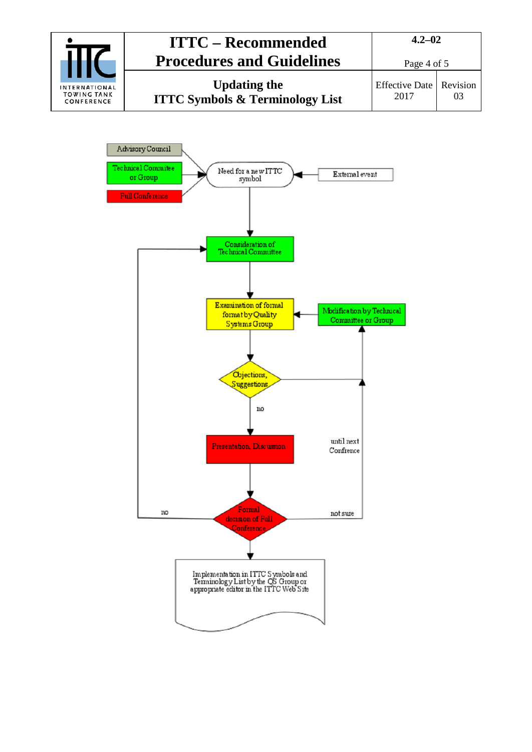